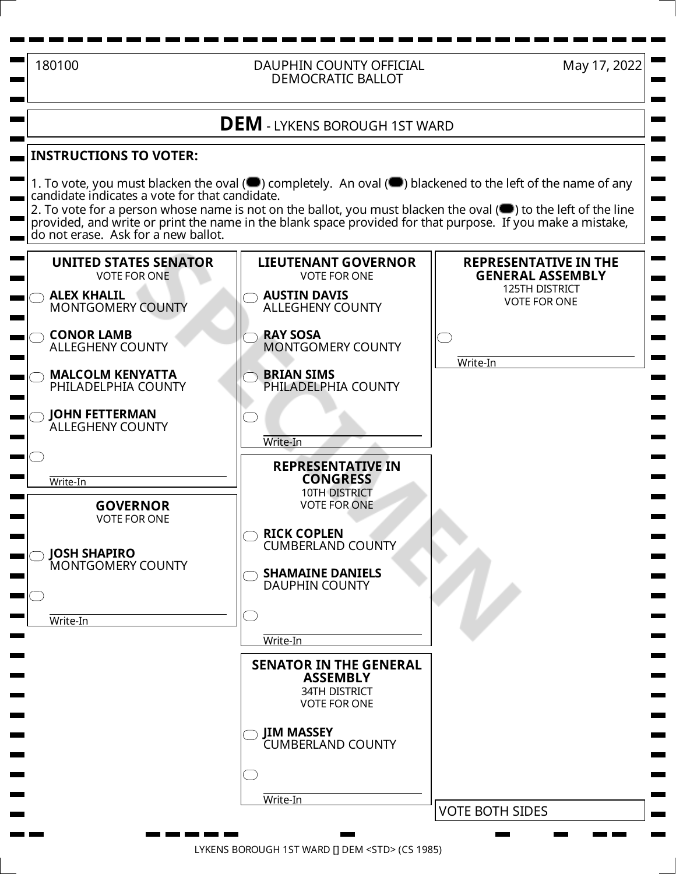## 180100 DAUPHIN COUNTY OFFICIAL DEMOCRATIC BALLOT

May 17, 2022

## **DEM** - LYKENS BOROUGH 1ST WARD

## **INSTRUCTIONS TO VOTER:**

1. To vote, you must blacken the oval ( $\blacksquare$ ) completely. An oval ( $\blacksquare$ ) blackened to the left of the name of any candidate indicates a vote for that candidate.

2. To vote for a person whose name is not on the ballot, you must blacken the oval  $(\bullet)$  to the left of the line provided, and write or print the name in the blank space provided for that purpose. If you make a mistake, do not erase. Ask for a new ballot.